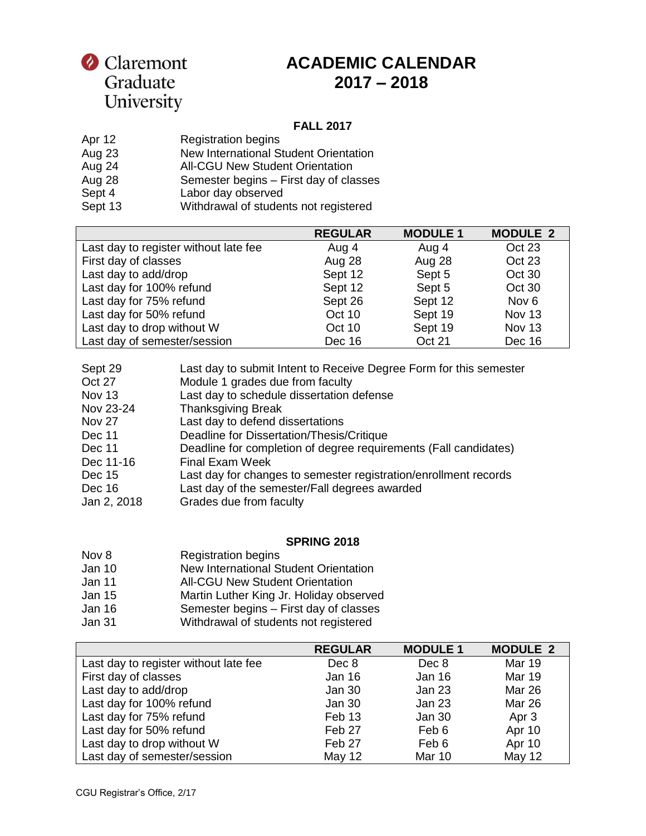# Claremont Graduate<br>University

## **ACADEMIC CALENDAR 2017 – 2018**

#### **FALL 2017**

| Apr 12  | <b>Registration begins</b>             |
|---------|----------------------------------------|
| Aug 23  | New International Student Orientation  |
| Aug 24  | <b>All-CGU New Student Orientation</b> |
| Aug 28  | Semester begins - First day of classes |
| Sept 4  | Labor day observed                     |
| Sept 13 | Withdrawal of students not registered  |

|                                       | <b>REGULAR</b> | <b>MODULE 1</b> | <b>MODULE 2</b>  |
|---------------------------------------|----------------|-----------------|------------------|
| Last day to register without late fee | Aug 4          | Aug 4           | Oct 23           |
| First day of classes                  | Aug 28         | Aug 28          | Oct 23           |
| Last day to add/drop                  | Sept 12        | Sept 5          | Oct 30           |
| Last day for 100% refund              | Sept 12        | Sept 5          | Oct 30           |
| Last day for 75% refund               | Sept 26        | Sept 12         | Nov <sub>6</sub> |
| Last day for 50% refund               | Oct 10         | Sept 19         | Nov 13           |
| Last day to drop without W            | Oct 10         | Sept 19         | Nov 13           |
| Last day of semester/session          | Dec 16         | Oct 21          | Dec 16           |

| Sept 29       | Last day to submit Intent to Receive Degree Form for this semester |
|---------------|--------------------------------------------------------------------|
| Oct 27        | Module 1 grades due from faculty                                   |
| <b>Nov 13</b> | Last day to schedule dissertation defense                          |
| Nov 23-24     | <b>Thanksgiving Break</b>                                          |
| <b>Nov 27</b> | Last day to defend dissertations                                   |
| Dec 11        | Deadline for Dissertation/Thesis/Critique                          |
| Dec 11        | Deadline for completion of degree requirements (Fall candidates)   |
| Dec 11-16     | <b>Final Exam Week</b>                                             |
| Dec 15        | Last day for changes to semester registration/enrollment records   |
| Dec 16        | Last day of the semester/Fall degrees awarded                      |
| Jan 2, 2018   | Grades due from faculty                                            |

#### **SPRING 2018**

| Nov 8         | <b>Registration begins</b>              |
|---------------|-----------------------------------------|
| Jan $10$      | New International Student Orientation   |
| Jan 11        | <b>All-CGU New Student Orientation</b>  |
| Jan 15        | Martin Luther King Jr. Holiday observed |
| Jan 16        | Semester begins - First day of classes  |
| <b>Jan 31</b> | Withdrawal of students not registered   |

|                                       | <b>REGULAR</b>    | <b>MODULE 1</b> | <b>MODULE 2</b> |
|---------------------------------------|-------------------|-----------------|-----------------|
| Last day to register without late fee | Dec 8             | Dec 8           | <b>Mar 19</b>   |
| First day of classes                  | Jan 16            | <b>Jan 16</b>   | <b>Mar 19</b>   |
| Last day to add/drop                  | Jan 30            | Jan 23          | <b>Mar 26</b>   |
| Last day for 100% refund              | Jan 30            | Jan 23          | <b>Mar 26</b>   |
| Last day for 75% refund               | Feb <sub>13</sub> | Jan 30          | Apr 3           |
| Last day for 50% refund               | Feb 27            | Feb 6           | Apr 10          |
| Last day to drop without W            | Feb 27            | Feb 6           | Apr 10          |
| Last day of semester/session          | May 12            | Mar 10          | <b>May 12</b>   |